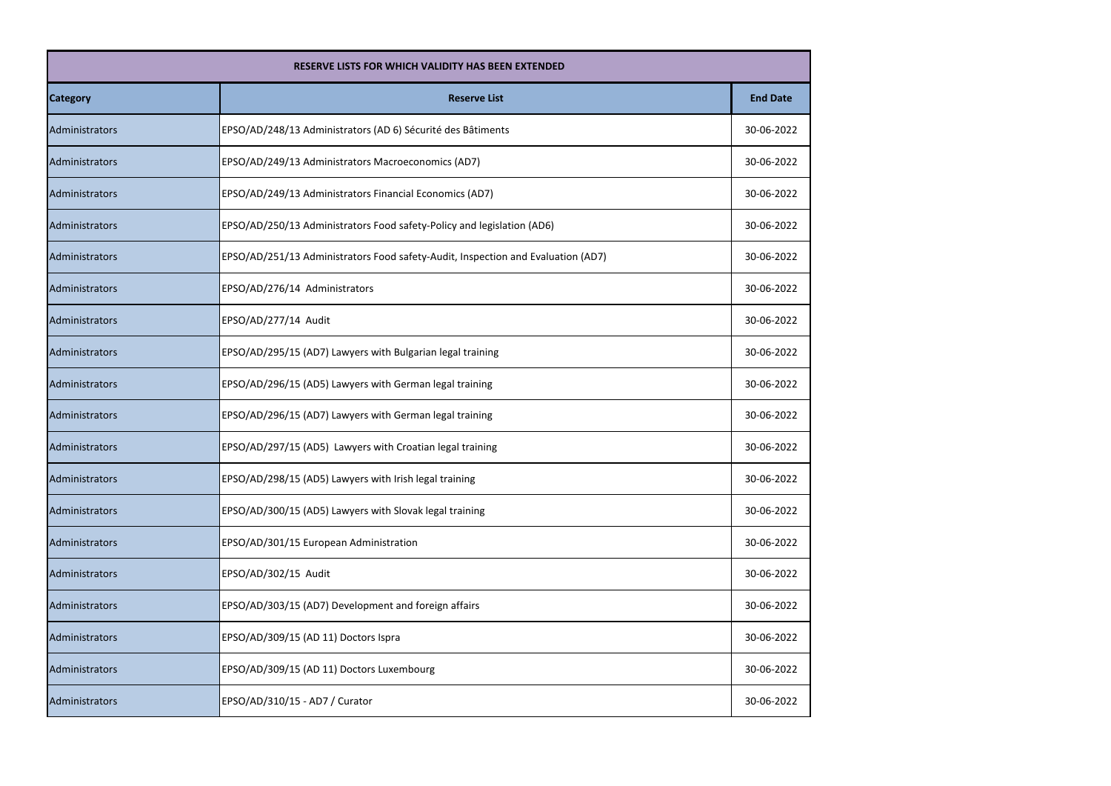| <b>RESERVE LISTS FOR WHICH VALIDITY HAS BEEN EXTENDED</b> |                                                                                  |                 |
|-----------------------------------------------------------|----------------------------------------------------------------------------------|-----------------|
| <b>Category</b>                                           | <b>Reserve List</b>                                                              | <b>End Date</b> |
| Administrators                                            | EPSO/AD/248/13 Administrators (AD 6) Sécurité des Bâtiments                      | 30-06-2022      |
| Administrators                                            | EPSO/AD/249/13 Administrators Macroeconomics (AD7)                               | 30-06-2022      |
| Administrators                                            | EPSO/AD/249/13 Administrators Financial Economics (AD7)                          | 30-06-2022      |
| <b>Administrators</b>                                     | EPSO/AD/250/13 Administrators Food safety-Policy and legislation (AD6)           | 30-06-2022      |
| Administrators                                            | EPSO/AD/251/13 Administrators Food safety-Audit, Inspection and Evaluation (AD7) | 30-06-2022      |
| Administrators                                            | EPSO/AD/276/14 Administrators                                                    | 30-06-2022      |
| Administrators                                            | EPSO/AD/277/14 Audit                                                             | 30-06-2022      |
| <b>Administrators</b>                                     | EPSO/AD/295/15 (AD7) Lawyers with Bulgarian legal training                       | 30-06-2022      |
| Administrators                                            | EPSO/AD/296/15 (AD5) Lawyers with German legal training                          | 30-06-2022      |
| Administrators                                            | EPSO/AD/296/15 (AD7) Lawyers with German legal training                          | 30-06-2022      |
| Administrators                                            | EPSO/AD/297/15 (AD5) Lawyers with Croatian legal training                        | 30-06-2022      |
| Administrators                                            | EPSO/AD/298/15 (AD5) Lawyers with Irish legal training                           | 30-06-2022      |
| Administrators                                            | EPSO/AD/300/15 (AD5) Lawyers with Slovak legal training                          | 30-06-2022      |
| Administrators                                            | EPSO/AD/301/15 European Administration                                           | 30-06-2022      |
| Administrators                                            | EPSO/AD/302/15 Audit                                                             | 30-06-2022      |
| Administrators                                            | EPSO/AD/303/15 (AD7) Development and foreign affairs                             | 30-06-2022      |
| Administrators                                            | EPSO/AD/309/15 (AD 11) Doctors Ispra                                             | 30-06-2022      |
| Administrators                                            | EPSO/AD/309/15 (AD 11) Doctors Luxembourg                                        | 30-06-2022      |
| Administrators                                            | EPSO/AD/310/15 - AD7 / Curator                                                   | 30-06-2022      |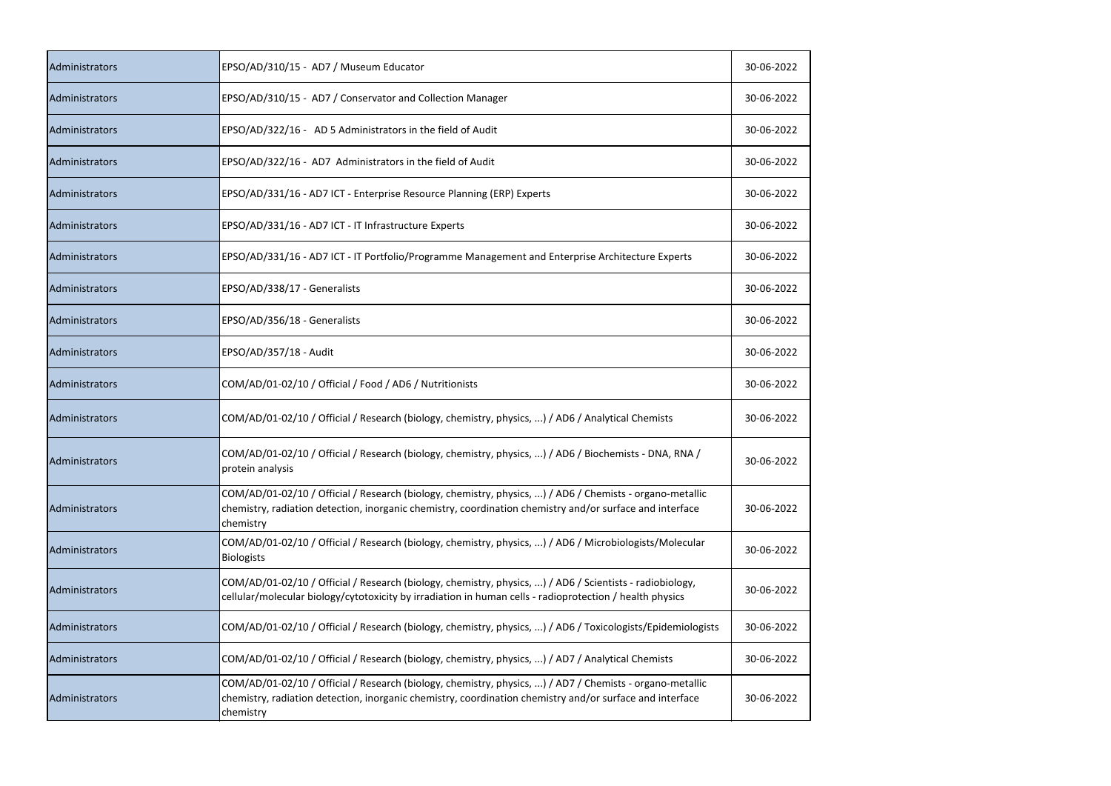| Administrators | EPSO/AD/310/15 - AD7 / Museum Educator                                                                                                                                                                                            | 30-06-2022 |
|----------------|-----------------------------------------------------------------------------------------------------------------------------------------------------------------------------------------------------------------------------------|------------|
| Administrators | EPSO/AD/310/15 - AD7 / Conservator and Collection Manager                                                                                                                                                                         | 30-06-2022 |
| Administrators | EPSO/AD/322/16 - AD 5 Administrators in the field of Audit                                                                                                                                                                        | 30-06-2022 |
| Administrators | EPSO/AD/322/16 - AD7 Administrators in the field of Audit                                                                                                                                                                         | 30-06-2022 |
| Administrators | EPSO/AD/331/16 - AD7 ICT - Enterprise Resource Planning (ERP) Experts                                                                                                                                                             | 30-06-2022 |
| Administrators | EPSO/AD/331/16 - AD7 ICT - IT Infrastructure Experts                                                                                                                                                                              | 30-06-2022 |
| Administrators | EPSO/AD/331/16 - AD7 ICT - IT Portfolio/Programme Management and Enterprise Architecture Experts                                                                                                                                  | 30-06-2022 |
| Administrators | EPSO/AD/338/17 - Generalists                                                                                                                                                                                                      | 30-06-2022 |
| Administrators | EPSO/AD/356/18 - Generalists                                                                                                                                                                                                      | 30-06-2022 |
| Administrators | EPSO/AD/357/18 - Audit                                                                                                                                                                                                            | 30-06-2022 |
| Administrators | COM/AD/01-02/10 / Official / Food / AD6 / Nutritionists                                                                                                                                                                           | 30-06-2022 |
| Administrators | COM/AD/01-02/10 / Official / Research (biology, chemistry, physics, ) / AD6 / Analytical Chemists                                                                                                                                 | 30-06-2022 |
| Administrators | COM/AD/01-02/10 / Official / Research (biology, chemistry, physics, ) / AD6 / Biochemists - DNA, RNA /<br>protein analysis                                                                                                        | 30-06-2022 |
| Administrators | COM/AD/01-02/10 / Official / Research (biology, chemistry, physics, ) / AD6 / Chemists - organo-metallic<br>chemistry, radiation detection, inorganic chemistry, coordination chemistry and/or surface and interface<br>chemistry | 30-06-2022 |
| Administrators | COM/AD/01-02/10 / Official / Research (biology, chemistry, physics, ) / AD6 / Microbiologists/Molecular<br><b>Biologists</b>                                                                                                      | 30-06-2022 |
| Administrators | COM/AD/01-02/10 / Official / Research (biology, chemistry, physics, ) / AD6 / Scientists - radiobiology,<br>cellular/molecular biology/cytotoxicity by irradiation in human cells - radioprotection / health physics              | 30-06-2022 |
| Administrators | COM/AD/01-02/10 / Official / Research (biology, chemistry, physics, ) / AD6 / Toxicologists/Epidemiologists                                                                                                                       | 30-06-2022 |
| Administrators | COM/AD/01-02/10 / Official / Research (biology, chemistry, physics, ) / AD7 / Analytical Chemists                                                                                                                                 | 30-06-2022 |
| Administrators | COM/AD/01-02/10 / Official / Research (biology, chemistry, physics, ) / AD7 / Chemists - organo-metallic<br>chemistry, radiation detection, inorganic chemistry, coordination chemistry and/or surface and interface<br>chemistry | 30-06-2022 |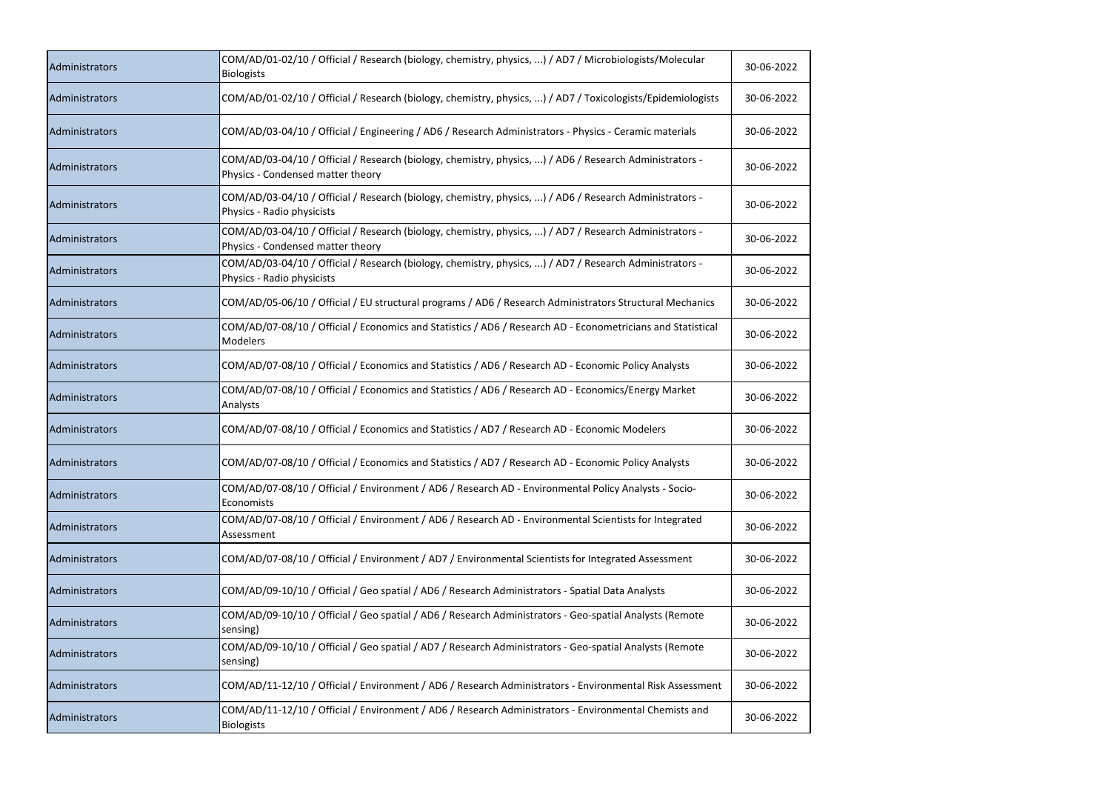| Administrators | COM/AD/01-02/10 / Official / Research (biology, chemistry, physics, ) / AD7 / Microbiologists/Molecular<br><b>Biologists</b>                 | 30-06-2022 |
|----------------|----------------------------------------------------------------------------------------------------------------------------------------------|------------|
| Administrators | COM/AD/01-02/10 / Official / Research (biology, chemistry, physics, ) / AD7 / Toxicologists/Epidemiologists                                  | 30-06-2022 |
| Administrators | COM/AD/03-04/10 / Official / Engineering / AD6 / Research Administrators - Physics - Ceramic materials                                       | 30-06-2022 |
| Administrators | COM/AD/03-04/10 / Official / Research (biology, chemistry, physics, ) / AD6 / Research Administrators -<br>Physics - Condensed matter theory | 30-06-2022 |
| Administrators | COM/AD/03-04/10 / Official / Research (biology, chemistry, physics, ) / AD6 / Research Administrators -<br>Physics - Radio physicists        | 30-06-2022 |
| Administrators | COM/AD/03-04/10 / Official / Research (biology, chemistry, physics, ) / AD7 / Research Administrators -<br>Physics - Condensed matter theory | 30-06-2022 |
| Administrators | COM/AD/03-04/10 / Official / Research (biology, chemistry, physics, ) / AD7 / Research Administrators -<br>Physics - Radio physicists        | 30-06-2022 |
| Administrators | COM/AD/05-06/10 / Official / EU structural programs / AD6 / Research Administrators Structural Mechanics                                     | 30-06-2022 |
| Administrators | COM/AD/07-08/10 / Official / Economics and Statistics / AD6 / Research AD - Econometricians and Statistical<br>Modelers                      | 30-06-2022 |
| Administrators | COM/AD/07-08/10 / Official / Economics and Statistics / AD6 / Research AD - Economic Policy Analysts                                         | 30-06-2022 |
| Administrators | COM/AD/07-08/10 / Official / Economics and Statistics / AD6 / Research AD - Economics/Energy Market<br>Analysts                              | 30-06-2022 |
| Administrators | COM/AD/07-08/10 / Official / Economics and Statistics / AD7 / Research AD - Economic Modelers                                                | 30-06-2022 |
| Administrators | COM/AD/07-08/10 / Official / Economics and Statistics / AD7 / Research AD - Economic Policy Analysts                                         | 30-06-2022 |
| Administrators | COM/AD/07-08/10 / Official / Environment / AD6 / Research AD - Environmental Policy Analysts - Socio-<br>Economists                          | 30-06-2022 |
| Administrators | COM/AD/07-08/10 / Official / Environment / AD6 / Research AD - Environmental Scientists for Integrated<br>Assessment                         | 30-06-2022 |
| Administrators | COM/AD/07-08/10 / Official / Environment / AD7 / Environmental Scientists for Integrated Assessment                                          | 30-06-2022 |
| Administrators | COM/AD/09-10/10 / Official / Geo spatial / AD6 / Research Administrators - Spatial Data Analysts                                             | 30-06-2022 |
| Administrators | COM/AD/09-10/10 / Official / Geo spatial / AD6 / Research Administrators - Geo-spatial Analysts (Remote<br>sensing)                          | 30-06-2022 |
| Administrators | COM/AD/09-10/10 / Official / Geo spatial / AD7 / Research Administrators - Geo-spatial Analysts (Remote<br>sensing)                          | 30-06-2022 |
| Administrators | COM/AD/11-12/10 / Official / Environment / AD6 / Research Administrators - Environmental Risk Assessment                                     | 30-06-2022 |
| Administrators | COM/AD/11-12/10 / Official / Environment / AD6 / Research Administrators - Environmental Chemists and<br><b>Biologists</b>                   | 30-06-2022 |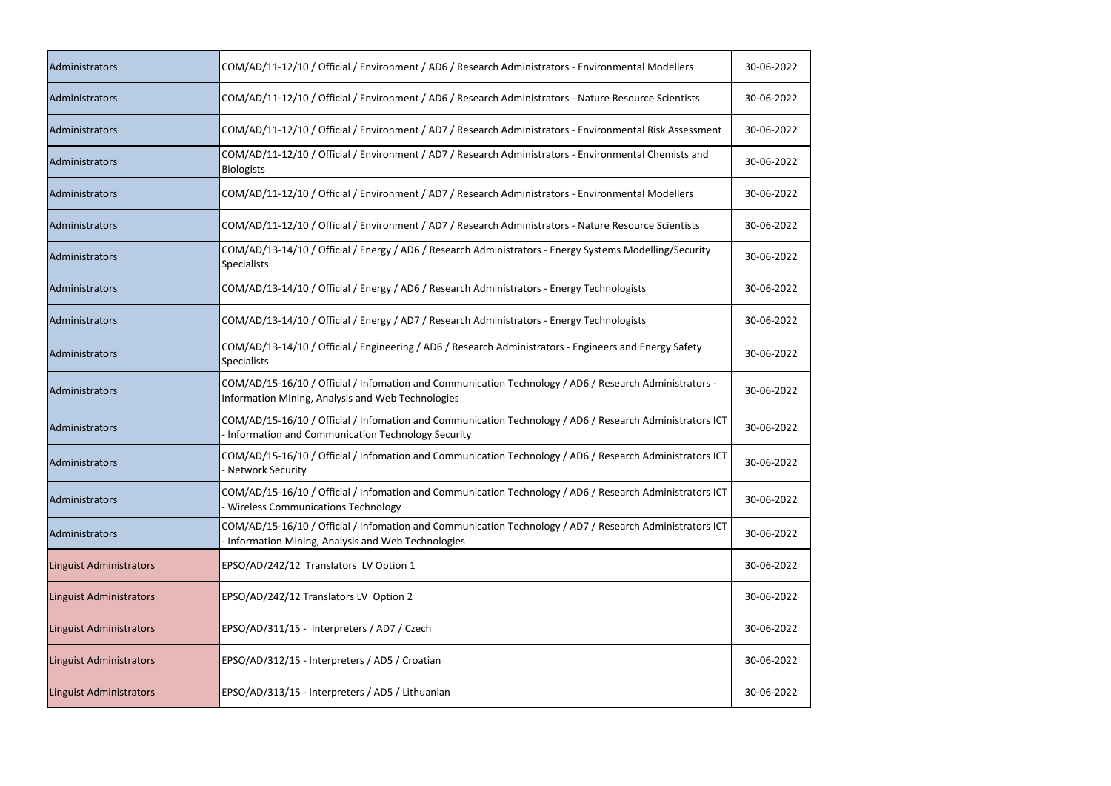| Administrators                 | COM/AD/11-12/10 / Official / Environment / AD6 / Research Administrators - Environmental Modellers                                                            | 30-06-2022 |
|--------------------------------|---------------------------------------------------------------------------------------------------------------------------------------------------------------|------------|
| Administrators                 | COM/AD/11-12/10 / Official / Environment / AD6 / Research Administrators - Nature Resource Scientists                                                         | 30-06-2022 |
| Administrators                 | COM/AD/11-12/10 / Official / Environment / AD7 / Research Administrators - Environmental Risk Assessment                                                      | 30-06-2022 |
| Administrators                 | COM/AD/11-12/10 / Official / Environment / AD7 / Research Administrators - Environmental Chemists and<br><b>Biologists</b>                                    | 30-06-2022 |
| Administrators                 | COM/AD/11-12/10 / Official / Environment / AD7 / Research Administrators - Environmental Modellers                                                            | 30-06-2022 |
| Administrators                 | COM/AD/11-12/10 / Official / Environment / AD7 / Research Administrators - Nature Resource Scientists                                                         | 30-06-2022 |
| Administrators                 | COM/AD/13-14/10 / Official / Energy / AD6 / Research Administrators - Energy Systems Modelling/Security<br><b>Specialists</b>                                 | 30-06-2022 |
| Administrators                 | COM/AD/13-14/10 / Official / Energy / AD6 / Research Administrators - Energy Technologists                                                                    | 30-06-2022 |
| Administrators                 | COM/AD/13-14/10 / Official / Energy / AD7 / Research Administrators - Energy Technologists                                                                    | 30-06-2022 |
| Administrators                 | COM/AD/13-14/10 / Official / Engineering / AD6 / Research Administrators - Engineers and Energy Safety<br><b>Specialists</b>                                  | 30-06-2022 |
| Administrators                 | COM/AD/15-16/10 / Official / Infomation and Communication Technology / AD6 / Research Administrators -<br>Information Mining, Analysis and Web Technologies   | 30-06-2022 |
| <b>Administrators</b>          | COM/AD/15-16/10 / Official / Infomation and Communication Technology / AD6 / Research Administrators ICT<br>Information and Communication Technology Security | 30-06-2022 |
| Administrators                 | COM/AD/15-16/10 / Official / Infomation and Communication Technology / AD6 / Research Administrators ICT<br>- Network Security                                | 30-06-2022 |
| Administrators                 | COM/AD/15-16/10 / Official / Infomation and Communication Technology / AD6 / Research Administrators ICT<br><b>Wireless Communications Technology</b>         | 30-06-2022 |
| Administrators                 | COM/AD/15-16/10 / Official / Infomation and Communication Technology / AD7 / Research Administrators ICT<br>Information Mining, Analysis and Web Technologies | 30-06-2022 |
| <b>Linguist Administrators</b> | EPSO/AD/242/12 Translators LV Option 1                                                                                                                        | 30-06-2022 |
| <b>Linguist Administrators</b> | EPSO/AD/242/12 Translators LV Option 2                                                                                                                        | 30-06-2022 |
| <b>Linguist Administrators</b> | EPSO/AD/311/15 - Interpreters / AD7 / Czech                                                                                                                   | 30-06-2022 |
| <b>Linguist Administrators</b> | EPSO/AD/312/15 - Interpreters / AD5 / Croatian                                                                                                                | 30-06-2022 |
| <b>Linguist Administrators</b> | EPSO/AD/313/15 - Interpreters / AD5 / Lithuanian                                                                                                              | 30-06-2022 |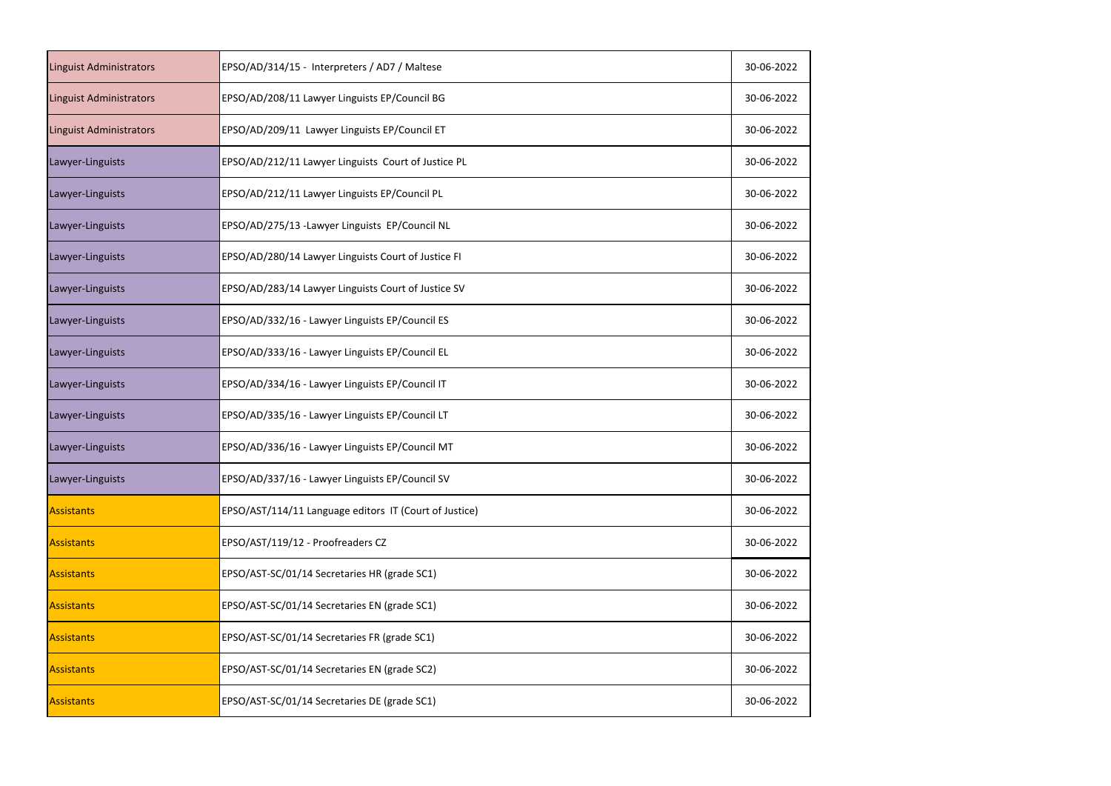| <b>Linguist Administrators</b> | EPSO/AD/314/15 - Interpreters / AD7 / Maltese          | 30-06-2022 |
|--------------------------------|--------------------------------------------------------|------------|
| <b>Linguist Administrators</b> | EPSO/AD/208/11 Lawyer Linguists EP/Council BG          | 30-06-2022 |
| Linguist Administrators        | EPSO/AD/209/11 Lawyer Linguists EP/Council ET          | 30-06-2022 |
| Lawyer-Linguists               | EPSO/AD/212/11 Lawyer Linguists Court of Justice PL    | 30-06-2022 |
| Lawyer-Linguists               | EPSO/AD/212/11 Lawyer Linguists EP/Council PL          | 30-06-2022 |
| Lawyer-Linguists               | EPSO/AD/275/13 - Lawyer Linguists EP/Council NL        | 30-06-2022 |
| Lawyer-Linguists               | EPSO/AD/280/14 Lawyer Linguists Court of Justice FI    | 30-06-2022 |
| Lawyer-Linguists               | EPSO/AD/283/14 Lawyer Linguists Court of Justice SV    | 30-06-2022 |
| Lawyer-Linguists               | EPSO/AD/332/16 - Lawyer Linguists EP/Council ES        | 30-06-2022 |
| Lawyer-Linguists               | EPSO/AD/333/16 - Lawyer Linguists EP/Council EL        | 30-06-2022 |
| Lawyer-Linguists               | EPSO/AD/334/16 - Lawyer Linguists EP/Council IT        | 30-06-2022 |
| Lawyer-Linguists               | EPSO/AD/335/16 - Lawyer Linguists EP/Council LT        | 30-06-2022 |
| Lawyer-Linguists               | EPSO/AD/336/16 - Lawyer Linguists EP/Council MT        | 30-06-2022 |
| Lawyer-Linguists               | EPSO/AD/337/16 - Lawyer Linguists EP/Council SV        | 30-06-2022 |
| Assistants                     | EPSO/AST/114/11 Language editors IT (Court of Justice) | 30-06-2022 |
| Assistants                     | EPSO/AST/119/12 - Proofreaders CZ                      | 30-06-2022 |
| Assistants                     | EPSO/AST-SC/01/14 Secretaries HR (grade SC1)           | 30-06-2022 |
| <b>Assistants</b>              | EPSO/AST-SC/01/14 Secretaries EN (grade SC1)           | 30-06-2022 |
| <b>Assistants</b>              | EPSO/AST-SC/01/14 Secretaries FR (grade SC1)           | 30-06-2022 |
| <b>Assistants</b>              | EPSO/AST-SC/01/14 Secretaries EN (grade SC2)           | 30-06-2022 |
| Assistants                     | EPSO/AST-SC/01/14 Secretaries DE (grade SC1)           | 30-06-2022 |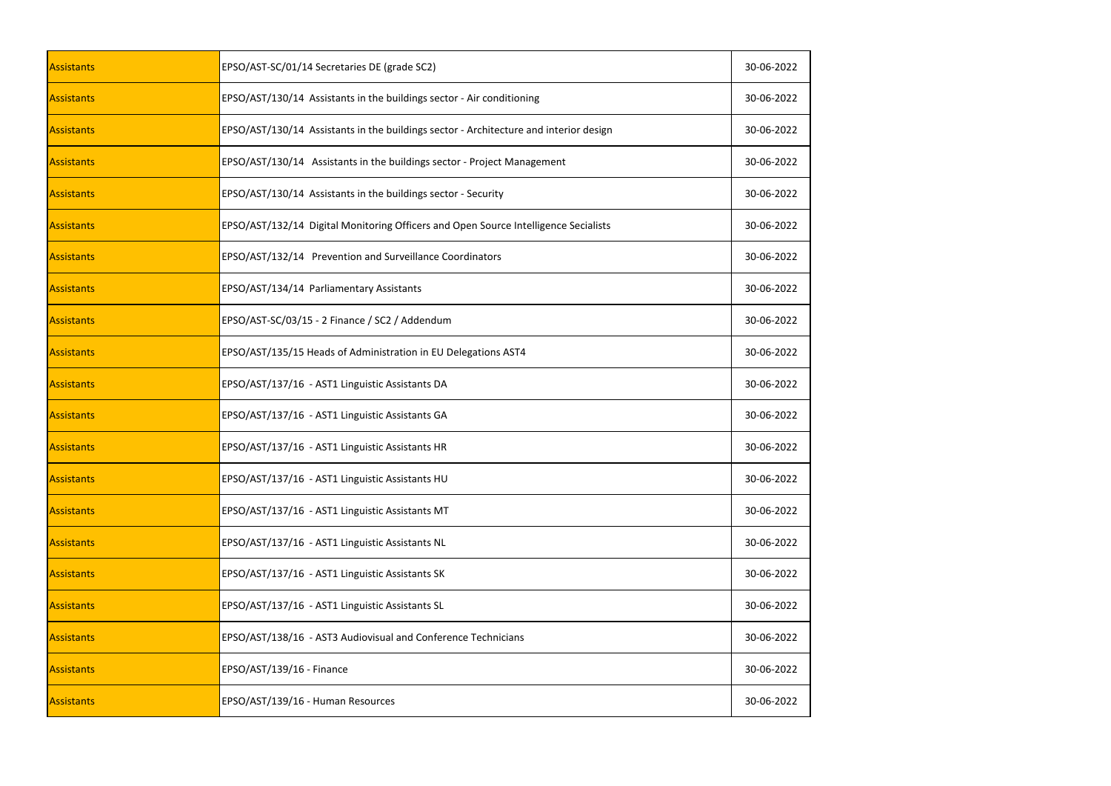| <b>Assistants</b> | EPSO/AST-SC/01/14 Secretaries DE (grade SC2)                                          | 30-06-2022 |
|-------------------|---------------------------------------------------------------------------------------|------------|
| <b>Assistants</b> | EPSO/AST/130/14 Assistants in the buildings sector - Air conditioning                 | 30-06-2022 |
| <b>Assistants</b> | EPSO/AST/130/14 Assistants in the buildings sector - Architecture and interior design | 30-06-2022 |
| Assistants        | EPSO/AST/130/14 Assistants in the buildings sector - Project Management               | 30-06-2022 |
| <b>Assistants</b> | EPSO/AST/130/14 Assistants in the buildings sector - Security                         | 30-06-2022 |
| <b>Assistants</b> | EPSO/AST/132/14 Digital Monitoring Officers and Open Source Intelligence Secialists   | 30-06-2022 |
| <b>Assistants</b> | EPSO/AST/132/14 Prevention and Surveillance Coordinators                              | 30-06-2022 |
| <b>Assistants</b> | EPSO/AST/134/14 Parliamentary Assistants                                              | 30-06-2022 |
| <b>Assistants</b> | EPSO/AST-SC/03/15 - 2 Finance / SC2 / Addendum                                        | 30-06-2022 |
| Assistants        | EPSO/AST/135/15 Heads of Administration in EU Delegations AST4                        | 30-06-2022 |
| <b>Assistants</b> | EPSO/AST/137/16 - AST1 Linguistic Assistants DA                                       | 30-06-2022 |
| <b>Assistants</b> | EPSO/AST/137/16 - AST1 Linguistic Assistants GA                                       | 30-06-2022 |
| Assistants        | EPSO/AST/137/16 - AST1 Linguistic Assistants HR                                       | 30-06-2022 |
| <b>Assistants</b> | EPSO/AST/137/16 - AST1 Linguistic Assistants HU                                       | 30-06-2022 |
| <b>Assistants</b> | EPSO/AST/137/16 - AST1 Linguistic Assistants MT                                       | 30-06-2022 |
| <b>Assistants</b> | EPSO/AST/137/16 - AST1 Linguistic Assistants NL                                       | 30-06-2022 |
| <b>Assistants</b> | EPSO/AST/137/16 - AST1 Linguistic Assistants SK                                       | 30-06-2022 |
| <b>Assistants</b> | EPSO/AST/137/16 - AST1 Linguistic Assistants SL                                       | 30-06-2022 |
| Assistants        | EPSO/AST/138/16 - AST3 Audiovisual and Conference Technicians                         | 30-06-2022 |
| Assistants        | EPSO/AST/139/16 - Finance                                                             | 30-06-2022 |
| <b>Assistants</b> | EPSO/AST/139/16 - Human Resources                                                     | 30-06-2022 |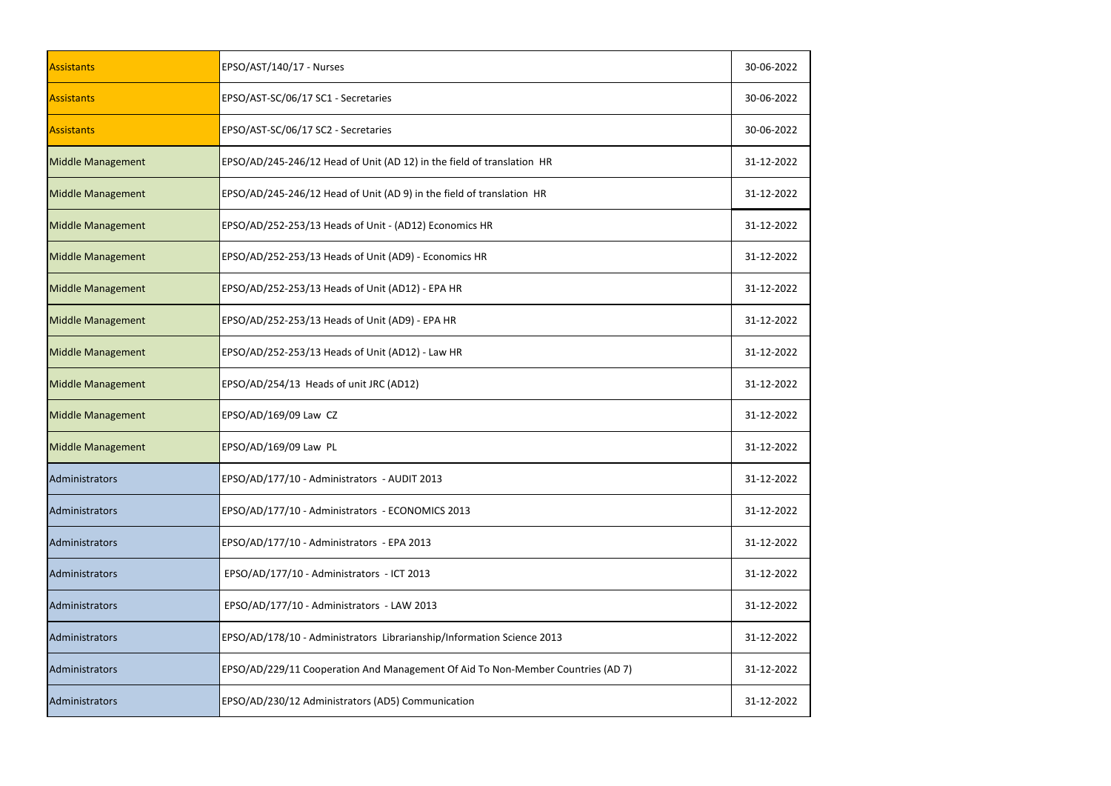| <b>Assistants</b>        | EPSO/AST/140/17 - Nurses                                                        | 30-06-2022 |
|--------------------------|---------------------------------------------------------------------------------|------------|
| <b>Assistants</b>        | EPSO/AST-SC/06/17 SC1 - Secretaries                                             | 30-06-2022 |
| <b>Assistants</b>        | EPSO/AST-SC/06/17 SC2 - Secretaries                                             | 30-06-2022 |
| <b>Middle Management</b> | EPSO/AD/245-246/12 Head of Unit (AD 12) in the field of translation HR          | 31-12-2022 |
| <b>Middle Management</b> | EPSO/AD/245-246/12 Head of Unit (AD 9) in the field of translation HR           | 31-12-2022 |
| <b>Middle Management</b> | EPSO/AD/252-253/13 Heads of Unit - (AD12) Economics HR                          | 31-12-2022 |
| <b>Middle Management</b> | EPSO/AD/252-253/13 Heads of Unit (AD9) - Economics HR                           | 31-12-2022 |
| <b>Middle Management</b> | EPSO/AD/252-253/13 Heads of Unit (AD12) - EPA HR                                | 31-12-2022 |
| <b>Middle Management</b> | EPSO/AD/252-253/13 Heads of Unit (AD9) - EPA HR                                 | 31-12-2022 |
| <b>Middle Management</b> | EPSO/AD/252-253/13 Heads of Unit (AD12) - Law HR                                | 31-12-2022 |
| <b>Middle Management</b> | EPSO/AD/254/13 Heads of unit JRC (AD12)                                         | 31-12-2022 |
| <b>Middle Management</b> | EPSO/AD/169/09 Law CZ                                                           | 31-12-2022 |
| <b>Middle Management</b> | EPSO/AD/169/09 Law PL                                                           | 31-12-2022 |
| Administrators           | EPSO/AD/177/10 - Administrators - AUDIT 2013                                    | 31-12-2022 |
| Administrators           | EPSO/AD/177/10 - Administrators - ECONOMICS 2013                                | 31-12-2022 |
| Administrators           | EPSO/AD/177/10 - Administrators - EPA 2013                                      | 31-12-2022 |
| Administrators           | EPSO/AD/177/10 - Administrators - ICT 2013                                      | 31-12-2022 |
| Administrators           | EPSO/AD/177/10 - Administrators - LAW 2013                                      | 31-12-2022 |
| Administrators           | EPSO/AD/178/10 - Administrators Librarianship/Information Science 2013          | 31-12-2022 |
| Administrators           | EPSO/AD/229/11 Cooperation And Management Of Aid To Non-Member Countries (AD 7) | 31-12-2022 |
| Administrators           | EPSO/AD/230/12 Administrators (AD5) Communication                               | 31-12-2022 |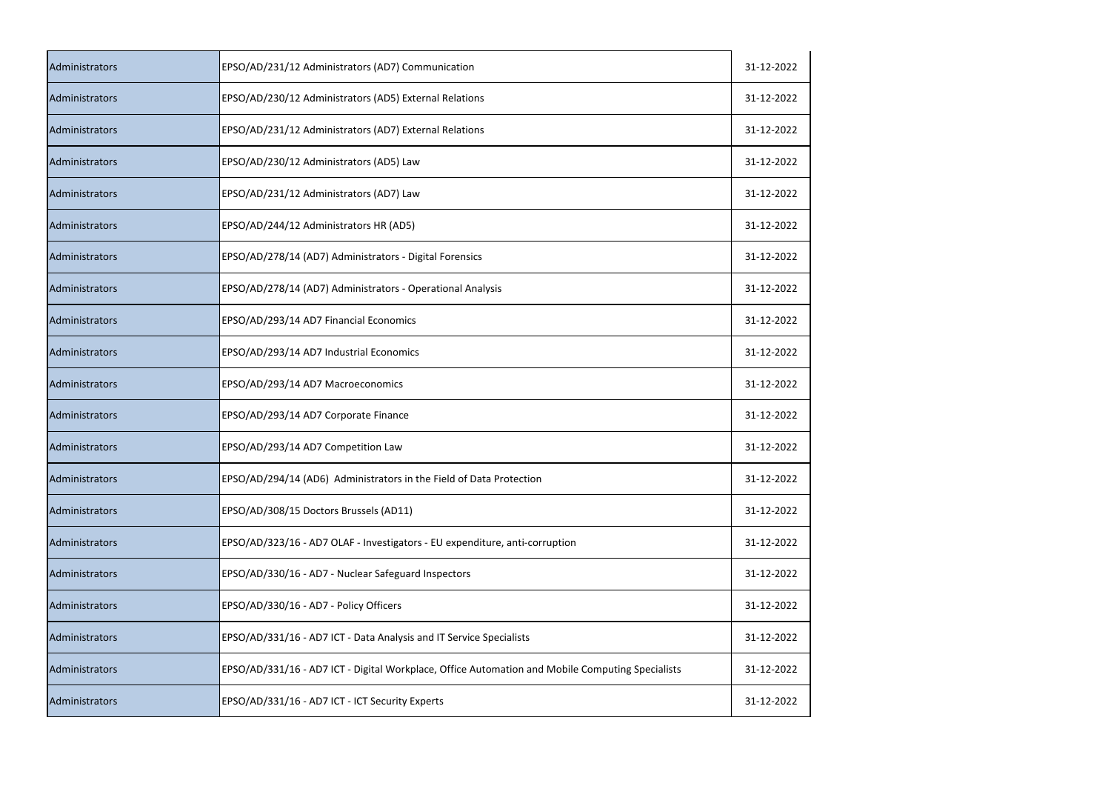| Administrators | EPSO/AD/231/12 Administrators (AD7) Communication                                                | 31-12-2022 |
|----------------|--------------------------------------------------------------------------------------------------|------------|
| Administrators | EPSO/AD/230/12 Administrators (AD5) External Relations                                           | 31-12-2022 |
| Administrators | EPSO/AD/231/12 Administrators (AD7) External Relations                                           | 31-12-2022 |
| Administrators | EPSO/AD/230/12 Administrators (AD5) Law                                                          | 31-12-2022 |
| Administrators | EPSO/AD/231/12 Administrators (AD7) Law                                                          | 31-12-2022 |
| Administrators | EPSO/AD/244/12 Administrators HR (AD5)                                                           | 31-12-2022 |
| Administrators | EPSO/AD/278/14 (AD7) Administrators - Digital Forensics                                          | 31-12-2022 |
| Administrators | EPSO/AD/278/14 (AD7) Administrators - Operational Analysis                                       | 31-12-2022 |
| Administrators | EPSO/AD/293/14 AD7 Financial Economics                                                           | 31-12-2022 |
| Administrators | EPSO/AD/293/14 AD7 Industrial Economics                                                          | 31-12-2022 |
| Administrators | EPSO/AD/293/14 AD7 Macroeconomics                                                                | 31-12-2022 |
| Administrators | EPSO/AD/293/14 AD7 Corporate Finance                                                             | 31-12-2022 |
| Administrators | EPSO/AD/293/14 AD7 Competition Law                                                               | 31-12-2022 |
| Administrators | EPSO/AD/294/14 (AD6) Administrators in the Field of Data Protection                              | 31-12-2022 |
| Administrators | EPSO/AD/308/15 Doctors Brussels (AD11)                                                           | 31-12-2022 |
| Administrators | EPSO/AD/323/16 - AD7 OLAF - Investigators - EU expenditure, anti-corruption                      | 31-12-2022 |
| Administrators | EPSO/AD/330/16 - AD7 - Nuclear Safeguard Inspectors                                              | 31-12-2022 |
| Administrators | EPSO/AD/330/16 - AD7 - Policy Officers                                                           | 31-12-2022 |
| Administrators | EPSO/AD/331/16 - AD7 ICT - Data Analysis and IT Service Specialists                              | 31-12-2022 |
| Administrators | EPSO/AD/331/16 - AD7 ICT - Digital Workplace, Office Automation and Mobile Computing Specialists | 31-12-2022 |
| Administrators | EPSO/AD/331/16 - AD7 ICT - ICT Security Experts                                                  | 31-12-2022 |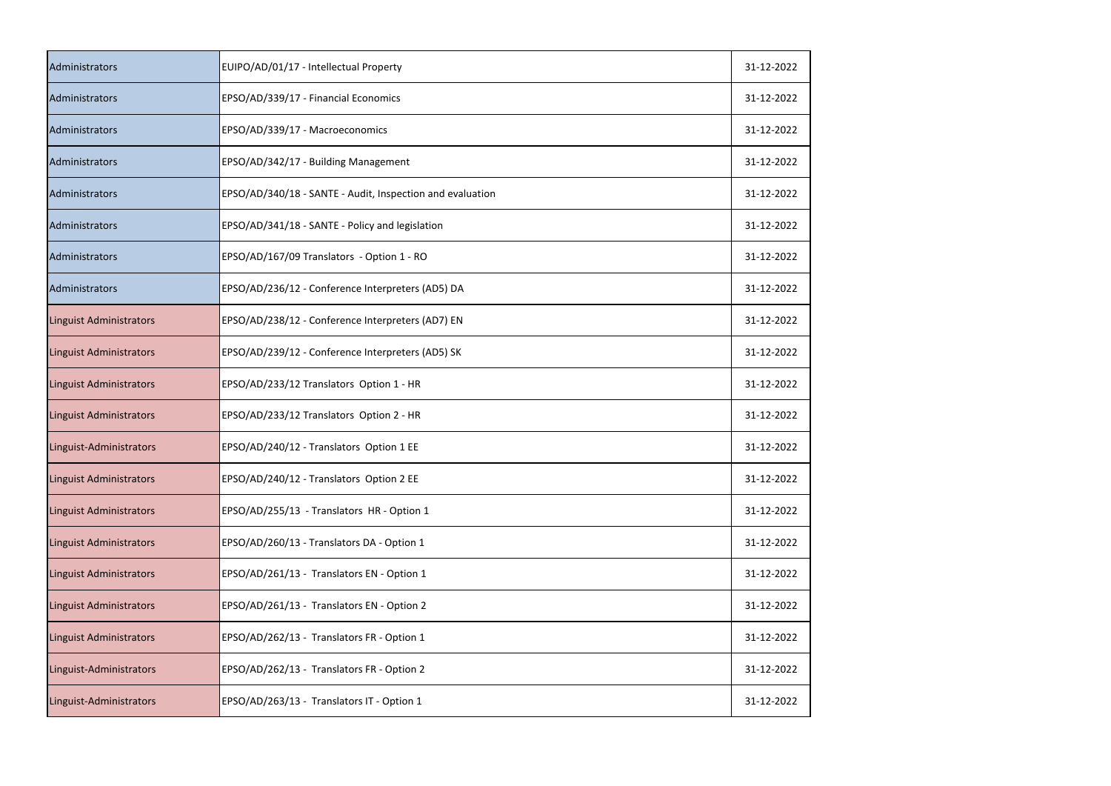| Administrators                 | EUIPO/AD/01/17 - Intellectual Property                    | 31-12-2022 |
|--------------------------------|-----------------------------------------------------------|------------|
| Administrators                 | EPSO/AD/339/17 - Financial Economics                      | 31-12-2022 |
| Administrators                 | EPSO/AD/339/17 - Macroeconomics                           | 31-12-2022 |
| Administrators                 | EPSO/AD/342/17 - Building Management                      | 31-12-2022 |
| Administrators                 | EPSO/AD/340/18 - SANTE - Audit, Inspection and evaluation | 31-12-2022 |
| Administrators                 | EPSO/AD/341/18 - SANTE - Policy and legislation           | 31-12-2022 |
| Administrators                 | EPSO/AD/167/09 Translators - Option 1 - RO                | 31-12-2022 |
| Administrators                 | EPSO/AD/236/12 - Conference Interpreters (AD5) DA         | 31-12-2022 |
| <b>Linguist Administrators</b> | EPSO/AD/238/12 - Conference Interpreters (AD7) EN         | 31-12-2022 |
| <b>Linguist Administrators</b> | EPSO/AD/239/12 - Conference Interpreters (AD5) SK         | 31-12-2022 |
| <b>Linguist Administrators</b> | EPSO/AD/233/12 Translators Option 1 - HR                  | 31-12-2022 |
| <b>Linguist Administrators</b> | EPSO/AD/233/12 Translators Option 2 - HR                  | 31-12-2022 |
| Linguist-Administrators        | EPSO/AD/240/12 - Translators Option 1 EE                  | 31-12-2022 |
| <b>Linguist Administrators</b> | EPSO/AD/240/12 - Translators Option 2 EE                  | 31-12-2022 |
| <b>Linguist Administrators</b> | EPSO/AD/255/13 - Translators HR - Option 1                | 31-12-2022 |
| <b>Linguist Administrators</b> | EPSO/AD/260/13 - Translators DA - Option 1                | 31-12-2022 |
| <b>Linguist Administrators</b> | EPSO/AD/261/13 - Translators EN - Option 1                | 31-12-2022 |
| <b>Linguist Administrators</b> | EPSO/AD/261/13 - Translators EN - Option 2                | 31-12-2022 |
| <b>Linguist Administrators</b> | EPSO/AD/262/13 - Translators FR - Option 1                | 31-12-2022 |
| Linguist-Administrators        | EPSO/AD/262/13 - Translators FR - Option 2                | 31-12-2022 |
| Linguist-Administrators        | EPSO/AD/263/13 - Translators IT - Option 1                | 31-12-2022 |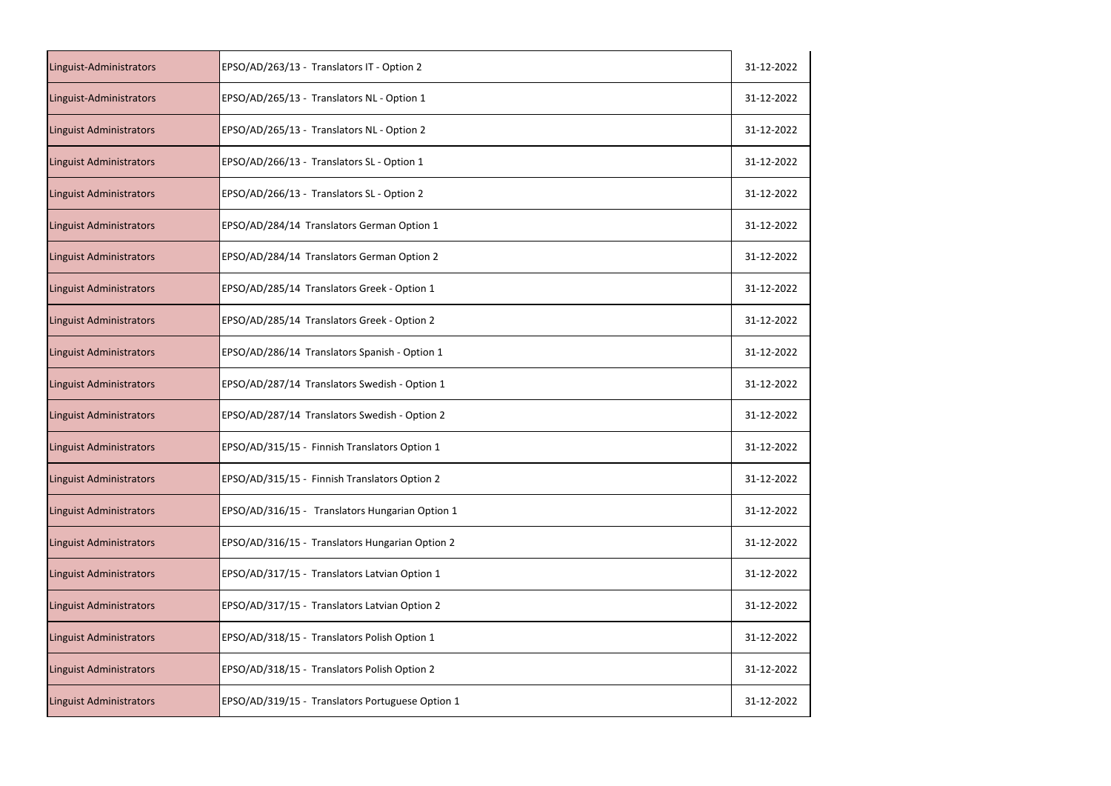| Linguist-Administrators        | EPSO/AD/263/13 - Translators IT - Option 2       | 31-12-2022 |
|--------------------------------|--------------------------------------------------|------------|
| Linguist-Administrators        | EPSO/AD/265/13 - Translators NL - Option 1       | 31-12-2022 |
| <b>Linguist Administrators</b> | EPSO/AD/265/13 - Translators NL - Option 2       | 31-12-2022 |
| <b>Linguist Administrators</b> | EPSO/AD/266/13 - Translators SL - Option 1       | 31-12-2022 |
| <b>Linguist Administrators</b> | EPSO/AD/266/13 - Translators SL - Option 2       | 31-12-2022 |
| Linguist Administrators        | EPSO/AD/284/14 Translators German Option 1       | 31-12-2022 |
| <b>Linguist Administrators</b> | EPSO/AD/284/14 Translators German Option 2       | 31-12-2022 |
| <b>Linguist Administrators</b> | EPSO/AD/285/14 Translators Greek - Option 1      | 31-12-2022 |
| <b>Linguist Administrators</b> | EPSO/AD/285/14 Translators Greek - Option 2      | 31-12-2022 |
| <b>Linguist Administrators</b> | EPSO/AD/286/14 Translators Spanish - Option 1    | 31-12-2022 |
| <b>Linguist Administrators</b> | EPSO/AD/287/14 Translators Swedish - Option 1    | 31-12-2022 |
| Linguist Administrators        | EPSO/AD/287/14 Translators Swedish - Option 2    | 31-12-2022 |
| <b>Linguist Administrators</b> | EPSO/AD/315/15 - Finnish Translators Option 1    | 31-12-2022 |
| <b>Linguist Administrators</b> | EPSO/AD/315/15 - Finnish Translators Option 2    | 31-12-2022 |
| <b>Linguist Administrators</b> | EPSO/AD/316/15 - Translators Hungarian Option 1  | 31-12-2022 |
| <b>Linguist Administrators</b> | EPSO/AD/316/15 - Translators Hungarian Option 2  | 31-12-2022 |
| <b>Linguist Administrators</b> | EPSO/AD/317/15 - Translators Latvian Option 1    | 31-12-2022 |
| Linguist Administrators        | EPSO/AD/317/15 - Translators Latvian Option 2    | 31-12-2022 |
| <b>Linguist Administrators</b> | EPSO/AD/318/15 - Translators Polish Option 1     | 31-12-2022 |
| Linguist Administrators        | EPSO/AD/318/15 - Translators Polish Option 2     | 31-12-2022 |
| Linguist Administrators        | EPSO/AD/319/15 - Translators Portuguese Option 1 | 31-12-2022 |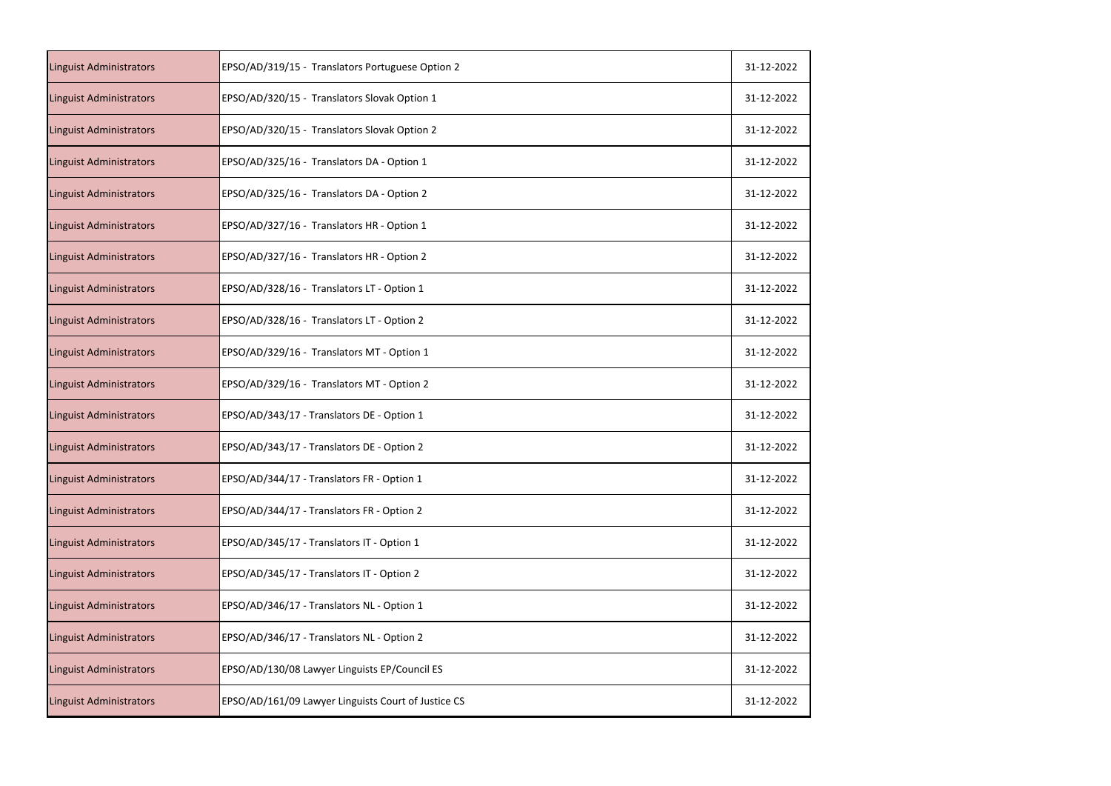| <b>Linguist Administrators</b> | EPSO/AD/319/15 - Translators Portuguese Option 2    | 31-12-2022 |
|--------------------------------|-----------------------------------------------------|------------|
| <b>Linguist Administrators</b> | EPSO/AD/320/15 - Translators Slovak Option 1        | 31-12-2022 |
| <b>Linguist Administrators</b> | EPSO/AD/320/15 - Translators Slovak Option 2        | 31-12-2022 |
| <b>Linguist Administrators</b> | EPSO/AD/325/16 - Translators DA - Option 1          | 31-12-2022 |
| <b>Linguist Administrators</b> | EPSO/AD/325/16 - Translators DA - Option 2          | 31-12-2022 |
| <b>Linguist Administrators</b> | EPSO/AD/327/16 - Translators HR - Option 1          | 31-12-2022 |
| <b>Linguist Administrators</b> | EPSO/AD/327/16 - Translators HR - Option 2          | 31-12-2022 |
| <b>Linguist Administrators</b> | EPSO/AD/328/16 - Translators LT - Option 1          | 31-12-2022 |
| <b>Linguist Administrators</b> | EPSO/AD/328/16 - Translators LT - Option 2          | 31-12-2022 |
| <b>Linguist Administrators</b> | EPSO/AD/329/16 - Translators MT - Option 1          | 31-12-2022 |
| <b>Linguist Administrators</b> | EPSO/AD/329/16 - Translators MT - Option 2          | 31-12-2022 |
| Linguist Administrators        | EPSO/AD/343/17 - Translators DE - Option 1          | 31-12-2022 |
| <b>Linguist Administrators</b> | EPSO/AD/343/17 - Translators DE - Option 2          | 31-12-2022 |
| <b>Linguist Administrators</b> | EPSO/AD/344/17 - Translators FR - Option 1          | 31-12-2022 |
| <b>Linguist Administrators</b> | EPSO/AD/344/17 - Translators FR - Option 2          | 31-12-2022 |
| <b>Linguist Administrators</b> | EPSO/AD/345/17 - Translators IT - Option 1          | 31-12-2022 |
| <b>Linguist Administrators</b> | EPSO/AD/345/17 - Translators IT - Option 2          | 31-12-2022 |
| <b>Linguist Administrators</b> | EPSO/AD/346/17 - Translators NL - Option 1          | 31-12-2022 |
| <b>Linguist Administrators</b> | EPSO/AD/346/17 - Translators NL - Option 2          | 31-12-2022 |
| Linguist Administrators        | EPSO/AD/130/08 Lawyer Linguists EP/Council ES       | 31-12-2022 |
| <b>Linguist Administrators</b> | EPSO/AD/161/09 Lawyer Linguists Court of Justice CS | 31-12-2022 |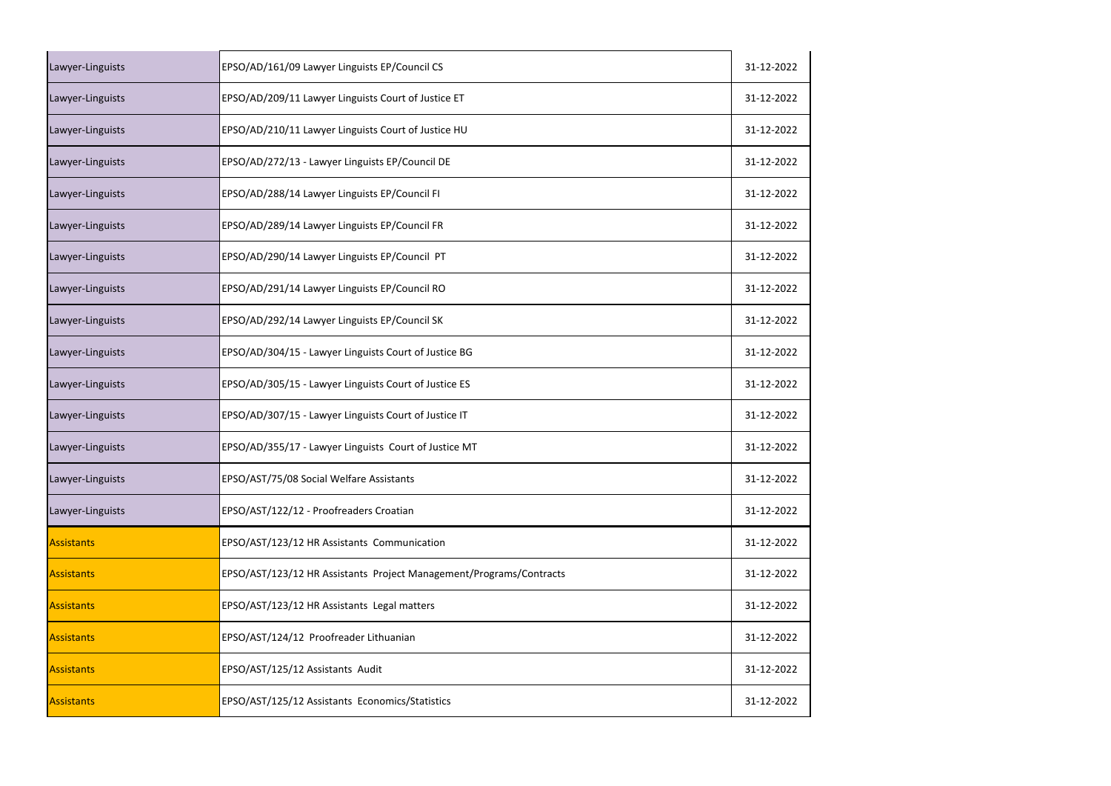| Lawyer-Linguists  | EPSO/AD/161/09 Lawyer Linguists EP/Council CS                       | 31-12-2022 |
|-------------------|---------------------------------------------------------------------|------------|
| Lawyer-Linguists  | EPSO/AD/209/11 Lawyer Linguists Court of Justice ET                 | 31-12-2022 |
| Lawyer-Linguists  | EPSO/AD/210/11 Lawyer Linguists Court of Justice HU                 | 31-12-2022 |
| Lawyer-Linguists  | EPSO/AD/272/13 - Lawyer Linguists EP/Council DE                     | 31-12-2022 |
| Lawyer-Linguists  | EPSO/AD/288/14 Lawyer Linguists EP/Council FI                       | 31-12-2022 |
| Lawyer-Linguists  | EPSO/AD/289/14 Lawyer Linguists EP/Council FR                       | 31-12-2022 |
| Lawyer-Linguists  | EPSO/AD/290/14 Lawyer Linguists EP/Council PT                       | 31-12-2022 |
| Lawyer-Linguists  | EPSO/AD/291/14 Lawyer Linguists EP/Council RO                       | 31-12-2022 |
| Lawyer-Linguists  | EPSO/AD/292/14 Lawyer Linguists EP/Council SK                       | 31-12-2022 |
| Lawyer-Linguists  | EPSO/AD/304/15 - Lawyer Linguists Court of Justice BG               | 31-12-2022 |
| Lawyer-Linguists  | EPSO/AD/305/15 - Lawyer Linguists Court of Justice ES               | 31-12-2022 |
| Lawyer-Linguists  | EPSO/AD/307/15 - Lawyer Linguists Court of Justice IT               | 31-12-2022 |
| Lawyer-Linguists  | EPSO/AD/355/17 - Lawyer Linguists Court of Justice MT               | 31-12-2022 |
| Lawyer-Linguists  | EPSO/AST/75/08 Social Welfare Assistants                            | 31-12-2022 |
| Lawyer-Linguists  | EPSO/AST/122/12 - Proofreaders Croatian                             | 31-12-2022 |
| <b>Assistants</b> | EPSO/AST/123/12 HR Assistants Communication                         | 31-12-2022 |
| <b>Assistants</b> | EPSO/AST/123/12 HR Assistants Project Management/Programs/Contracts | 31-12-2022 |
| <b>Assistants</b> | EPSO/AST/123/12 HR Assistants Legal matters                         | 31-12-2022 |
| <b>Assistants</b> | EPSO/AST/124/12 Proofreader Lithuanian                              | 31-12-2022 |
| <b>Assistants</b> | EPSO/AST/125/12 Assistants Audit                                    | 31-12-2022 |
| <b>Assistants</b> | EPSO/AST/125/12 Assistants Economics/Statistics                     | 31-12-2022 |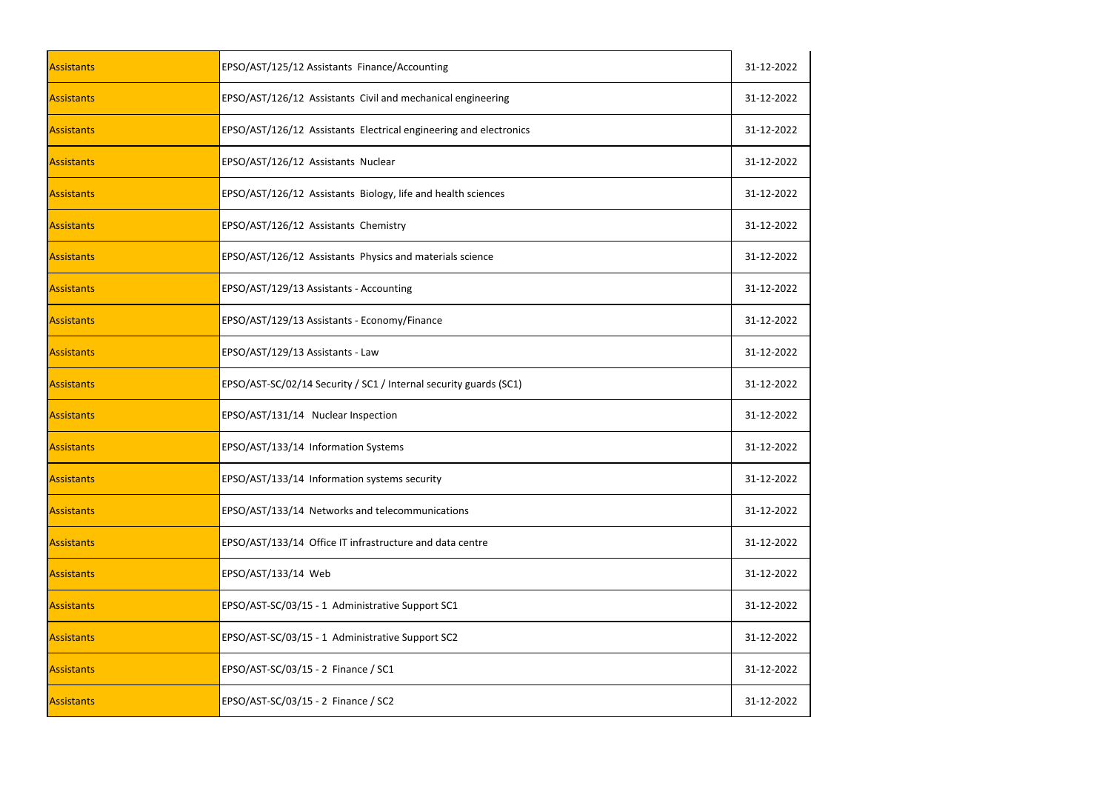| <b>Assistants</b> | EPSO/AST/125/12 Assistants Finance/Accounting                     | 31-12-2022 |
|-------------------|-------------------------------------------------------------------|------------|
| Assistants        | EPSO/AST/126/12 Assistants Civil and mechanical engineering       | 31-12-2022 |
| Assistants        | EPSO/AST/126/12 Assistants Electrical engineering and electronics | 31-12-2022 |
| Assistants        | EPSO/AST/126/12 Assistants Nuclear                                | 31-12-2022 |
| Assistants        | EPSO/AST/126/12 Assistants Biology, life and health sciences      | 31-12-2022 |
| Assistants        | EPSO/AST/126/12 Assistants Chemistry                              | 31-12-2022 |
| Assistants        | EPSO/AST/126/12 Assistants Physics and materials science          | 31-12-2022 |
| Assistants        | EPSO/AST/129/13 Assistants - Accounting                           | 31-12-2022 |
| Assistants        | EPSO/AST/129/13 Assistants - Economy/Finance                      | 31-12-2022 |
| <b>Assistants</b> | EPSO/AST/129/13 Assistants - Law                                  | 31-12-2022 |
| Assistants        | EPSO/AST-SC/02/14 Security / SC1 / Internal security guards (SC1) | 31-12-2022 |
| Assistants        | EPSO/AST/131/14 Nuclear Inspection                                | 31-12-2022 |
| Assistants        | EPSO/AST/133/14 Information Systems                               | 31-12-2022 |
| Assistants        | EPSO/AST/133/14 Information systems security                      | 31-12-2022 |
| Assistants        | EPSO/AST/133/14 Networks and telecommunications                   | 31-12-2022 |
| Assistants        | EPSO/AST/133/14 Office IT infrastructure and data centre          | 31-12-2022 |
| Assistants        | EPSO/AST/133/14 Web                                               | 31-12-2022 |
| Assistants        | EPSO/AST-SC/03/15 - 1 Administrative Support SC1                  | 31-12-2022 |
| <b>Assistants</b> | EPSO/AST-SC/03/15 - 1 Administrative Support SC2                  | 31-12-2022 |
| Assistants        | EPSO/AST-SC/03/15 - 2 Finance / SC1                               | 31-12-2022 |
| Assistants        | EPSO/AST-SC/03/15 - 2 Finance / SC2                               | 31-12-2022 |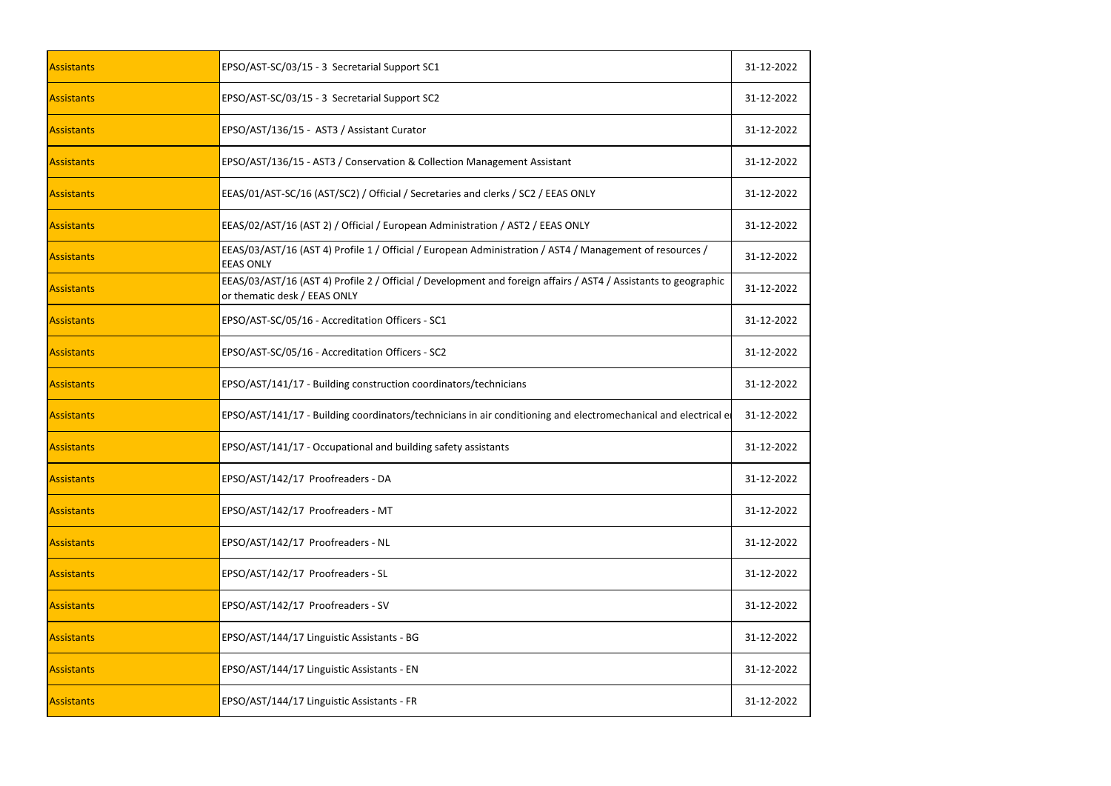| <b>Assistants</b> | EPSO/AST-SC/03/15 - 3 Secretarial Support SC1                                                                                                   | 31-12-2022 |
|-------------------|-------------------------------------------------------------------------------------------------------------------------------------------------|------------|
| Assistants        | EPSO/AST-SC/03/15 - 3 Secretarial Support SC2                                                                                                   | 31-12-2022 |
| Assistants        | EPSO/AST/136/15 - AST3 / Assistant Curator                                                                                                      | 31-12-2022 |
| <b>Assistants</b> | EPSO/AST/136/15 - AST3 / Conservation & Collection Management Assistant                                                                         | 31-12-2022 |
| Assistants        | EEAS/01/AST-SC/16 (AST/SC2) / Official / Secretaries and clerks / SC2 / EEAS ONLY                                                               | 31-12-2022 |
| Assistants        | EEAS/02/AST/16 (AST 2) / Official / European Administration / AST2 / EEAS ONLY                                                                  | 31-12-2022 |
| Assistants        | EEAS/03/AST/16 (AST 4) Profile 1 / Official / European Administration / AST4 / Management of resources /<br><b>EEAS ONLY</b>                    | 31-12-2022 |
| Assistants        | EEAS/03/AST/16 (AST 4) Profile 2 / Official / Development and foreign affairs / AST4 / Assistants to geographic<br>or thematic desk / EEAS ONLY | 31-12-2022 |
| Assistants        | EPSO/AST-SC/05/16 - Accreditation Officers - SC1                                                                                                | 31-12-2022 |
| <b>Assistants</b> | EPSO/AST-SC/05/16 - Accreditation Officers - SC2                                                                                                | 31-12-2022 |
| Assistants        | EPSO/AST/141/17 - Building construction coordinators/technicians                                                                                | 31-12-2022 |
| Assistants        | EPSO/AST/141/17 - Building coordinators/technicians in air conditioning and electromechanical and electrical el                                 | 31-12-2022 |
| Assistants        | EPSO/AST/141/17 - Occupational and building safety assistants                                                                                   | 31-12-2022 |
| Assistants        | EPSO/AST/142/17 Proofreaders - DA                                                                                                               | 31-12-2022 |
| Assistants        | EPSO/AST/142/17 Proofreaders - MT                                                                                                               | 31-12-2022 |
| <b>Assistants</b> | EPSO/AST/142/17 Proofreaders - NL                                                                                                               | 31-12-2022 |
| Assistants        | EPSO/AST/142/17 Proofreaders - SL                                                                                                               | 31-12-2022 |
| <b>Assistants</b> | EPSO/AST/142/17 Proofreaders - SV                                                                                                               | 31-12-2022 |
| <b>Assistants</b> | EPSO/AST/144/17 Linguistic Assistants - BG                                                                                                      | 31-12-2022 |
| Assistants        | EPSO/AST/144/17 Linguistic Assistants - EN                                                                                                      | 31-12-2022 |
| Assistants        | EPSO/AST/144/17 Linguistic Assistants - FR                                                                                                      | 31-12-2022 |